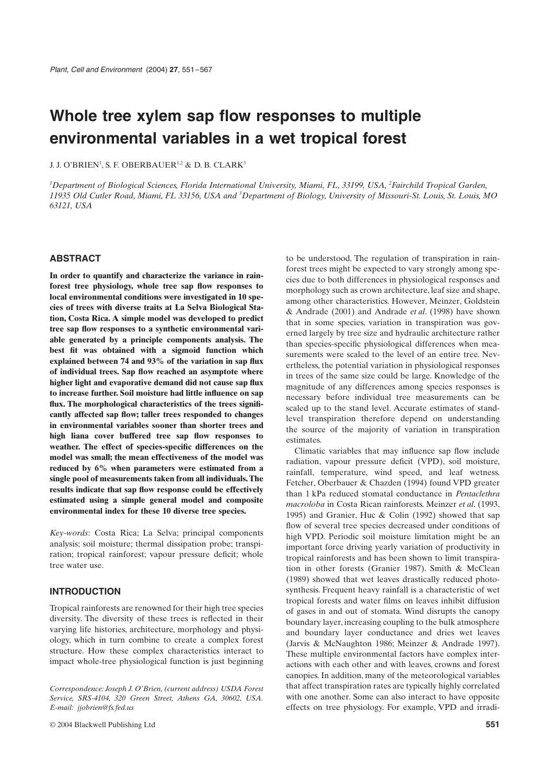# **Whole tree xylem sap flow responses to multiple environmental variables in a wet tropical forest**

J. J. O'BRIEN<sup>1</sup>, S. F. OBERBAUER<sup>1,2</sup> & D. B. CLARK<sup>3</sup>

*1 Department of Biological Sciences, Florida International University, Miami, FL, 33199, USA, 2 Fairchild Tropical Garden, 11935 Old Cutler Road, Miami, FL 33156, USA and 3 Department of Biology, University of Missouri-St. Louis, St. Louis, MO 63121, USA*

## **ABSTRACT**

**In order to quantify and characterize the variance in rainforest tree physiology, whole tree sap flow responses to local environmental conditions were investigated in 10 species of trees with diverse traits at La Selva Biological Station, Costa Rica. A simple model was developed to predict tree sap flow responses to a synthetic environmental variable generated by a principle components analysis. The best fit was obtained with a sigmoid function which explained between 74 and 93% of the variation in sap flux of individual trees. Sap flow reached an asymptote where higher light and evaporative demand did not cause sap flux to increase further. Soil moisture had little influence on sap flux. The morphological characteristics of the trees significantly affected sap flow; taller trees responded to changes in environmental variables sooner than shorter trees and high liana cover buffered tree sap flow responses to weather. The effect of species-specific differences on the model was small; the mean effectiveness of the model was reduced by 6% when parameters were estimated from a single pool of measurements taken from all individuals. The results indicate that sap flow response could be effectively estimated using a simple general model and composite environmental index for these 10 diverse tree species.**

*Key-words*: Costa Rica; La Selva; principal components analysis; soil moisture; thermal dissipation probe; transpiration; tropical rainforest; vapour pressure deficit; whole tree water use.

# **INTRODUCTION**

Tropical rainforests are renowned for their high tree species diversity. The diversity of these trees is reflected in their varying life histories, architecture, morphology and physiology, which in turn combine to create a complex forest structure. How these complex characteristics interact to impact whole-tree physiological function is just beginning

*Correspondence: Joseph J. O'Brien, (current address) USDA Forest Service, SRS-4104, 320 Green Street, Athens GA, 30602, USA. E-mail: jjobrien@fs.fed.us*

to be understood. The regulation of transpiration in rainforest trees might be expected to vary strongly among species due to both differences in physiological responses and morphology such as crown architecture, leaf size and shape, among other characteristics. However, Meinzer, Goldstein & Andrade (2001) and Andrade *et al*. (1998) have shown that in some species, variation in transpiration was governed largely by tree size and hydraulic architecture rather than species-specific physiological differences when measurements were scaled to the level of an entire tree. Nevertheless, the potential variation in physiological responses in trees of the same size could be large. Knowledge of the magnitude of any differences among species responses is necessary before individual tree measurements can be scaled up to the stand level. Accurate estimates of standlevel transpiration therefore depend on understanding the source of the majority of variation in transpiration estimates.

Climatic variables that may influence sap flow include radiation, vapour pressure deficit (VPD), soil moisture, rainfall, temperature, wind speed, and leaf wetness. Fetcher, Oberbauer & Chazden (1994) found VPD greater than 1 kPa reduced stomatal conductance in *Pentaclethra macroloba* in Costa Rican rainforests. Meinzer *et al*. (1993, 1995) and Granier, Huc & Colin (1992) showed that sap flow of several tree species decreased under conditions of high VPD. Periodic soil moisture limitation might be an important force driving yearly variation of productivity in tropical rainforests and has been shown to limit transpiration in other forests (Granier 1987). Smith & McClean (1989) showed that wet leaves drastically reduced photosynthesis. Frequent heavy rainfall is a characteristic of wet tropical forests and water films on leaves inhibit diffusion of gases in and out of stomata. Wind disrupts the canopy boundary layer, increasing coupling to the bulk atmosphere and boundary layer conductance and dries wet leaves (Jarvis & McNaughton 1986; Meinzer & Andrade 1997). These multiple environmental factors have complex interactions with each other and with leaves, crowns and forest canopies. In addition, many of the meteorological variables that affect transpiration rates are typically highly correlated with one another. Some can also interact to have opposite effects on tree physiology. For example, VPD and irradi-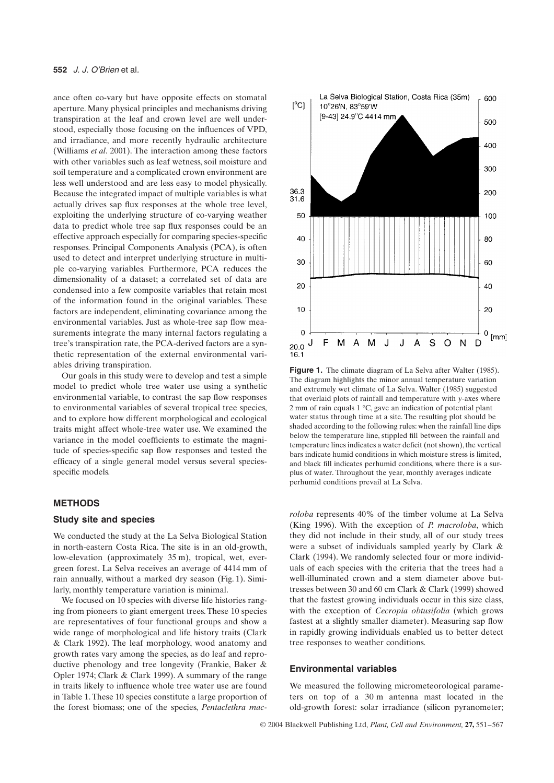ance often co-vary but have opposite effects on stomatal aperture. Many physical principles and mechanisms driving transpiration at the leaf and crown level are well understood, especially those focusing on the influences of VPD, and irradiance, and more recently hydraulic architecture (Williams *et al*. 2001). The interaction among these factors with other variables such as leaf wetness, soil moisture and soil temperature and a complicated crown environment are less well understood and are less easy to model physically. Because the integrated impact of multiple variables is what actually drives sap flux responses at the whole tree level, exploiting the underlying structure of co-varying weather data to predict whole tree sap flux responses could be an effective approach especially for comparing species-specific responses. Principal Components Analysis (PCA), is often used to detect and interpret underlying structure in multiple co-varying variables. Furthermore, PCA reduces the dimensionality of a dataset; a correlated set of data are condensed into a few composite variables that retain most of the information found in the original variables. These factors are independent, eliminating covariance among the environmental variables. Just as whole-tree sap flow measurements integrate the many internal factors regulating a tree's transpiration rate, the PCA-derived factors are a synthetic representation of the external environmental variables driving transpiration.

Our goals in this study were to develop and test a simple model to predict whole tree water use using a synthetic environmental variable, to contrast the sap flow responses to environmental variables of several tropical tree species, and to explore how different morphological and ecological traits might affect whole-tree water use. We examined the variance in the model coefficients to estimate the magnitude of species-specific sap flow responses and tested the efficacy of a single general model versus several speciesspecific models.

## **METHODS**

#### **Study site and species**

We conducted the study at the La Selva Biological Station in north-eastern Costa Rica. The site is in an old-growth, low-elevation (approximately 35 m), tropical, wet, evergreen forest. La Selva receives an average of 4414 mm of rain annually, without a marked dry season (Fig. 1). Similarly, monthly temperature variation is minimal.

We focused on 10 species with diverse life histories ranging from pioneers to giant emergent trees. These 10 species are representatives of four functional groups and show a wide range of morphological and life history traits (Clark & Clark 1992). The leaf morphology, wood anatomy and growth rates vary among the species, as do leaf and reproductive phenology and tree longevity (Frankie, Baker & Opler 1974; Clark & Clark 1999). A summary of the range in traits likely to influence whole tree water use are found in Table 1. These 10 species constitute a large proportion of the forest biomass; one of the species, *Pentaclethra mac-*



**Figure 1.** The climate diagram of La Selva after Walter (1985). The diagram highlights the minor annual temperature variation and extremely wet climate of La Selva. Walter (1985) suggested that overlaid plots of rainfall and temperature with *y*-axes where 2 mm of rain equals  $1 \,^{\circ}\text{C}$ , gave an indication of potential plant water status through time at a site. The resulting plot should be shaded according to the following rules: when the rainfall line dips below the temperature line, stippled fill between the rainfall and temperature lines indicates a water deficit (not shown), the vertical bars indicate humid conditions in which moisture stress is limited, and black fill indicates perhumid conditions, where there is a surplus of water. Throughout the year, monthly averages indicate perhumid conditions prevail at La Selva.

*roloba* represents 40% of the timber volume at La Selva (King 1996). With the exception of *P. macroloba*, which they did not include in their study, all of our study trees were a subset of individuals sampled yearly by Clark & Clark (1994). We randomly selected four or more individuals of each species with the criteria that the trees had a well-illuminated crown and a stem diameter above buttresses between 30 and 60 cm Clark & Clark (1999) showed that the fastest growing individuals occur in this size class, with the exception of *Cecropia obtusifolia* (which grows fastest at a slightly smaller diameter). Measuring sap flow in rapidly growing individuals enabled us to better detect tree responses to weather conditions.

#### **Environmental variables**

We measured the following micrometeorological parameters on top of a 30 m antenna mast located in the old-growth forest: solar irradiance (silicon pyranometer;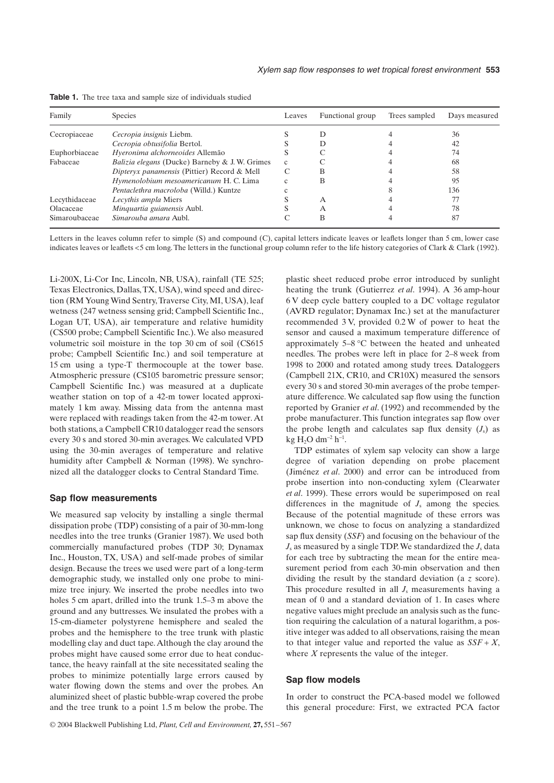| Family        | <b>Species</b>                                | Leaves       | Functional group | Trees sampled | Days measured |
|---------------|-----------------------------------------------|--------------|------------------|---------------|---------------|
| Cecropiaceae  | Cecropia insignis Liebm.                      |              |                  |               | 36            |
|               | Cecropia obtusifolia Bertol.                  |              |                  |               | 42            |
| Euphorbiaceae | Hyeronima alchorneoides Allemão               |              |                  |               | 74            |
| Fabaceae      | Balizia elegans (Ducke) Barneby & J.W. Grimes | $\mathbf{c}$ |                  |               | 68            |
|               | Dipteryx panamensis (Pittier) Record & Mell   |              | в                |               | 58            |
|               | Hymenolobium mesoamericanum H. C. Lima        | c            | В                |               | 95            |
|               | Pentaclethra macroloba (Willd.) Kuntze        |              |                  |               | 136           |
| Lecythidaceae | Lecythis ampla Miers                          |              | A                |               |               |
| Olacaceae     | Minquartia guianensis Aubl.                   |              | A                |               | 78            |
| Simaroubaceae | Simarouba amara Aubl.                         |              |                  |               | 87            |

**Table 1.** The tree taxa and sample size of individuals studied

Letters in the leaves column refer to simple (S) and compound (C), capital letters indicate leaves or leaflets longer than 5 cm, lower case indicates leaves or leaflets <5 cm long. The letters in the functional group column refer to the life history categories of Clark & Clark (1992).

Li-200X, Li-Cor Inc, Lincoln, NB, USA), rainfall (TE 525; Texas Electronics, Dallas, TX, USA), wind speed and direction (RM Young Wind Sentry, Traverse City, MI, USA), leaf wetness (247 wetness sensing grid; Campbell Scientific Inc., Logan UT, USA), air temperature and relative humidity (CS500 probe; Campbell Scientific Inc.). We also measured volumetric soil moisture in the top 30 cm of soil (CS615 probe; Campbell Scientific Inc.) and soil temperature at 15 cm using a type-T thermocouple at the tower base. Atmospheric pressure (CS105 barometric pressure sensor; Campbell Scientific Inc.) was measured at a duplicate weather station on top of a 42-m tower located approximately 1 km away. Missing data from the antenna mast were replaced with readings taken from the 42-m tower. At both stations, a Campbell CR10 datalogger read the sensors every 30 s and stored 30-min averages. We calculated VPD using the 30-min averages of temperature and relative humidity after Campbell & Norman (1998). We synchronized all the datalogger clocks to Central Standard Time.

## **Sap flow measurements**

We measured sap velocity by installing a single thermal dissipation probe (TDP) consisting of a pair of 30-mm-long needles into the tree trunks (Granier 1987). We used both commercially manufactured probes (TDP 30; Dynamax Inc., Houston, TX, USA) and self-made probes of similar design. Because the trees we used were part of a long-term demographic study, we installed only one probe to minimize tree injury. We inserted the probe needles into two holes 5 cm apart, drilled into the trunk 1.5–3 m above the ground and any buttresses. We insulated the probes with a 15-cm-diameter polystyrene hemisphere and sealed the probes and the hemisphere to the tree trunk with plastic modelling clay and duct tape. Although the clay around the probes might have caused some error due to heat conductance, the heavy rainfall at the site necessitated sealing the probes to minimize potentially large errors caused by water flowing down the stems and over the probes. An aluminized sheet of plastic bubble-wrap covered the probe and the tree trunk to a point 1.5 m below the probe. The plastic sheet reduced probe error introduced by sunlight heating the trunk (Gutierrez *et al*. 1994). A 36 amp-hour 6 V deep cycle battery coupled to a DC voltage regulator (AVRD regulator; Dynamax Inc.) set at the manufacturer recommended 3 V, provided 0.2 W of power to heat the sensor and caused a maximum temperature difference of approximately 5–8 ∞C between the heated and unheated needles. The probes were left in place for 2–8 week from 1998 to 2000 and rotated among study trees. Dataloggers (Campbell 21X, CR10, and CR10X) measured the sensors every 30 s and stored 30-min averages of the probe temperature difference. We calculated sap flow using the function reported by Granier *et al*. (1992) and recommended by the probe manufacturer. This function integrates sap flow over the probe length and calculates sap flux density  $(J<sub>s</sub>)$  as kg H<sub>2</sub>O dm<sup>-2</sup> h<sup>-1</sup>.

TDP estimates of xylem sap velocity can show a large degree of variation depending on probe placement (Jiménez *et al*. 2000) and error can be introduced from probe insertion into non-conducting xylem (Clearwater *et al*. 1999). These errors would be superimposed on real differences in the magnitude of  $J_s$  among the species. Because of the potential magnitude of these errors was unknown, we chose to focus on analyzing a standardized sap flux density (*SSF*) and focusing on the behaviour of the  $J<sub>s</sub>$  as measured by a single TDP. We standardized the  $J<sub>s</sub>$  data for each tree by subtracting the mean for the entire measurement period from each 30-min observation and then dividing the result by the standard deviation (a *z* score). This procedure resulted in all  $J_s$  measurements having a mean of 0 and a standard deviation of 1. In cases where negative values might preclude an analysis such as the function requiring the calculation of a natural logarithm, a positive integer was added to all observations, raising the mean to that integer value and reported the value as *SSF* + *X*, where *X* represents the value of the integer.

## **Sap flow models**

In order to construct the PCA-based model we followed this general procedure: First, we extracted PCA factor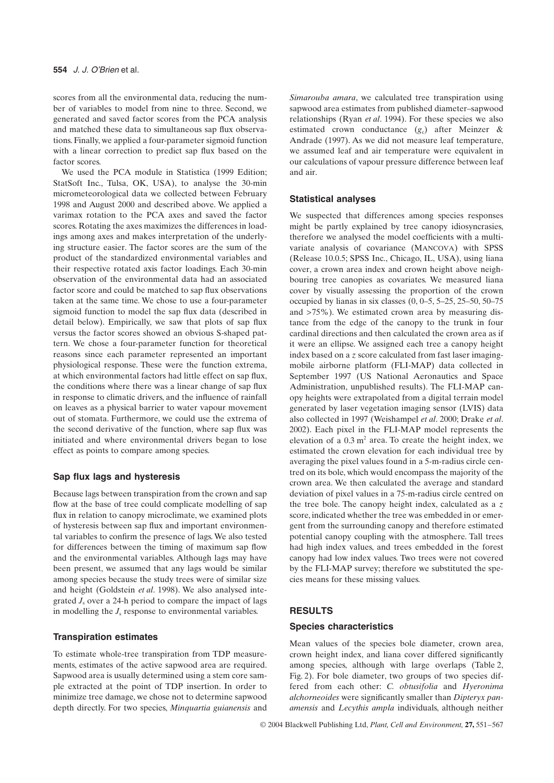scores from all the environmental data, reducing the number of variables to model from nine to three. Second, we generated and saved factor scores from the PCA analysis and matched these data to simultaneous sap flux observations. Finally, we applied a four-parameter sigmoid function with a linear correction to predict sap flux based on the factor scores.

We used the PCA module in Statistica (1999 Edition; StatSoft Inc., Tulsa, OK, USA), to analyse the 30-min micrometeorological data we collected between February 1998 and August 2000 and described above. We applied a varimax rotation to the PCA axes and saved the factor scores. Rotating the axes maximizes the differences in loadings among axes and makes interpretation of the underlying structure easier. The factor scores are the sum of the product of the standardized environmental variables and their respective rotated axis factor loadings. Each 30-min observation of the environmental data had an associated factor score and could be matched to sap flux observations taken at the same time. We chose to use a four-parameter sigmoid function to model the sap flux data (described in detail below). Empirically, we saw that plots of sap flux versus the factor scores showed an obvious S-shaped pattern. We chose a four-parameter function for theoretical reasons since each parameter represented an important physiological response. These were the function extrema, at which environmental factors had little effect on sap flux, the conditions where there was a linear change of sap flux in response to climatic drivers, and the influence of rainfall on leaves as a physical barrier to water vapour movement out of stomata. Furthermore, we could use the extrema of the second derivative of the function, where sap flux was initiated and where environmental drivers began to lose effect as points to compare among species.

## **Sap flux lags and hysteresis**

Because lags between transpiration from the crown and sap flow at the base of tree could complicate modelling of sap flux in relation to canopy microclimate, we examined plots of hysteresis between sap flux and important environmental variables to confirm the presence of lags. We also tested for differences between the timing of maximum sap flow and the environmental variables. Although lags may have been present, we assumed that any lags would be similar among species because the study trees were of similar size and height (Goldstein *et al*. 1998). We also analysed integrated  $J_s$  over a 24-h period to compare the impact of lags in modelling the  $J<sub>s</sub>$  response to environmental variables.

# **Transpiration estimates**

To estimate whole-tree transpiration from TDP measurements, estimates of the active sapwood area are required. Sapwood area is usually determined using a stem core sample extracted at the point of TDP insertion. In order to minimize tree damage, we chose not to determine sapwood depth directly. For two species, *Minquartia guianensis* and *Simarouba amara*, we calculated tree transpiration using sapwood area estimates from published diameter–sapwood relationships (Ryan *et al*. 1994). For these species we also estimated crown conductance  $(g_c)$  after Meinzer & Andrade (1997). As we did not measure leaf temperature, we assumed leaf and air temperature were equivalent in our calculations of vapour pressure difference between leaf and air.

## **Statistical analyses**

We suspected that differences among species responses might be partly explained by tree canopy idiosyncrasies, therefore we analysed the model coefficients with a multivariate analysis of covariance (MANCOVA) with SPSS (Release 10.0.5; SPSS Inc., Chicago, IL, USA), using liana cover, a crown area index and crown height above neighbouring tree canopies as covariates. We measured liana cover by visually assessing the proportion of the crown occupied by lianas in six classes (0, 0–5, 5–25, 25–50, 50–75 and >75%). We estimated crown area by measuring distance from the edge of the canopy to the trunk in four cardinal directions and then calculated the crown area as if it were an ellipse. We assigned each tree a canopy height index based on a *z* score calculated from fast laser imagingmobile airborne platform (FLI-MAP) data collected in September 1997 (US National Aeronautics and Space Administration, unpublished results). The FLI-MAP canopy heights were extrapolated from a digital terrain model generated by laser vegetation imaging sensor (LVIS) data also collected in 1997 (Weishampel *et al*. 2000; Drake *et al*. 2002). Each pixel in the FLI-MAP model represents the elevation of a  $0.3 \text{ m}^2$  area. To create the height index, we estimated the crown elevation for each individual tree by averaging the pixel values found in a 5-m-radius circle centred on its bole, which would encompass the majority of the crown area. We then calculated the average and standard deviation of pixel values in a 75-m-radius circle centred on the tree bole. The canopy height index, calculated as a *z* score, indicated whether the tree was embedded in or emergent from the surrounding canopy and therefore estimated potential canopy coupling with the atmosphere. Tall trees had high index values, and trees embedded in the forest canopy had low index values. Two trees were not covered by the FLI-MAP survey; therefore we substituted the species means for these missing values.

## **RESULTS**

## **Species characteristics**

Mean values of the species bole diameter, crown area, crown height index, and liana cover differed significantly among species, although with large overlaps (Table 2, Fig. 2). For bole diameter, two groups of two species differed from each other: *C. obtusifolia* and *Hyeronima alchorneoides* were significantly smaller than *Dipteryx panamensis* and *Lecythis ampla* individuals, although neither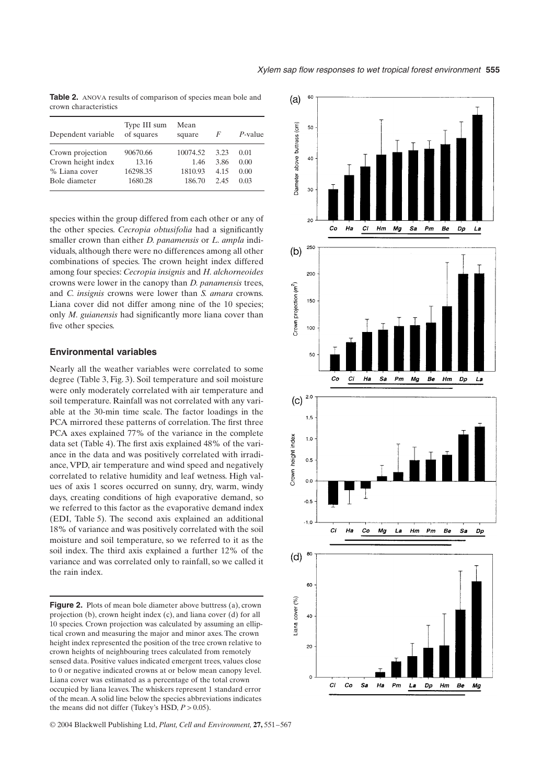**Table 2.** ANOVA results of comparison of species mean bole and crown characteristics

| Dependent variable | Type III sum<br>of squares | Mean<br>square | F    | $P$ -value |
|--------------------|----------------------------|----------------|------|------------|
| Crown projection   | 90670.66                   | 10074.52       | 3.23 | 0.01       |
| Crown height index | 13.16                      | 1.46           | 3.86 | 0.00       |
| % Liana cover      | 16298.35                   | 1810.93        | 4.15 | 0.00       |
| Bole diameter      | 1680.28                    | 186.70         | 2.45 | 0.03       |

species within the group differed from each other or any of the other species. *Cecropia obtusifolia* had a significantly smaller crown than either *D. panamensis* or *L. ampla* individuals, although there were no differences among all other combinations of species. The crown height index differed among four species: *Cecropia insignis* and *H. alchorneoides* crowns were lower in the canopy than *D. panamensis* trees, and *C. insignis* crowns were lower than *S. amara* crowns. Liana cover did not differ among nine of the 10 species; only *M. guianensis* had significantly more liana cover than five other species.

#### **Environmental variables**

Nearly all the weather variables were correlated to some degree (Table 3, Fig. 3). Soil temperature and soil moisture were only moderately correlated with air temperature and soil temperature. Rainfall was not correlated with any variable at the 30-min time scale. The factor loadings in the PCA mirrored these patterns of correlation. The first three PCA axes explained 77% of the variance in the complete data set (Table 4). The first axis explained 48% of the variance in the data and was positively correlated with irradiance, VPD, air temperature and wind speed and negatively correlated to relative humidity and leaf wetness. High values of axis 1 scores occurred on sunny, dry, warm, windy days, creating conditions of high evaporative demand, so we referred to this factor as the evaporative demand index (EDI, Table 5). The second axis explained an additional 18% of variance and was positively correlated with the soil moisture and soil temperature, so we referred to it as the soil index. The third axis explained a further 12% of the variance and was correlated only to rainfall, so we called it the rain index.

**Figure 2.** Plots of mean bole diameter above buttress (a), crown projection (b), crown height index (c), and liana cover (d) for all 10 species. Crown projection was calculated by assuming an elliptical crown and measuring the major and minor axes. The crown height index represented the position of the tree crown relative to crown heights of neighbouring trees calculated from remotely sensed data. Positive values indicated emergent trees, values close to 0 or negative indicated crowns at or below mean canopy level. Liana cover was estimated as a percentage of the total crown occupied by liana leaves. The whiskers represent 1 standard error of the mean. A solid line below the species abbreviations indicates the means did not differ (Tukey's HSD, *P* > 0.05).



© 2004 Blackwell Publishing Ltd, *Plant, Cell and Environment,* **27,** 551–567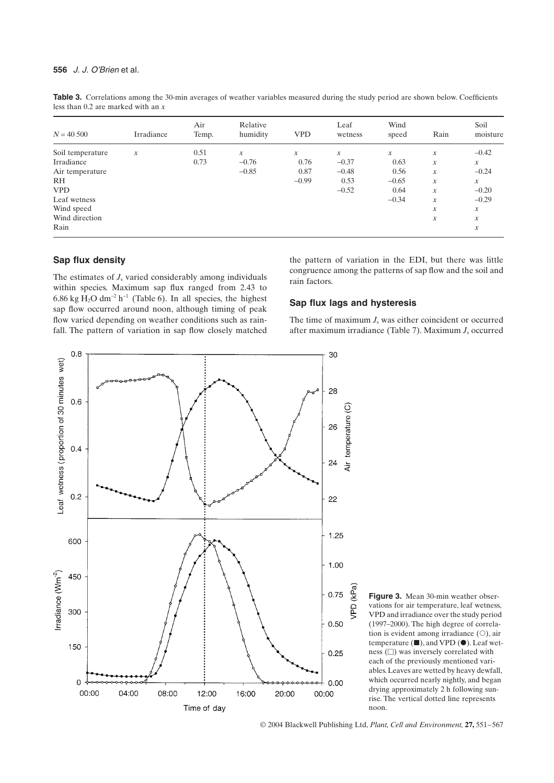| $N = 40,500$     | Irradiance    | Air<br>Temp. | Relative<br>humidity | <b>VPD</b>                 | Leaf<br>wetness | Wind<br>speed | Rain                       | Soil<br>moisture           |
|------------------|---------------|--------------|----------------------|----------------------------|-----------------|---------------|----------------------------|----------------------------|
| Soil temperature | $\mathcal{X}$ | 0.51         | $\boldsymbol{x}$     | $\boldsymbol{\mathcal{X}}$ | $\mathcal{X}$   | $\mathcal{X}$ | $\boldsymbol{\mathcal{X}}$ | $-0.42$                    |
| Irradiance       |               | 0.73         | $-0.76$              | 0.76                       | $-0.37$         | 0.63          | $\boldsymbol{x}$           | $\mathcal{X}$              |
| Air temperature  |               |              | $-0.85$              | 0.87                       | $-0.48$         | 0.56          | $\boldsymbol{x}$           | $-0.24$                    |
| RH               |               |              |                      | $-0.99$                    | 0.53            | $-0.65$       | $\boldsymbol{x}$           | $\mathcal{X}$              |
| <b>VPD</b>       |               |              |                      |                            | $-0.52$         | 0.64          | $\boldsymbol{x}$           | $-0.20$                    |
| Leaf wetness     |               |              |                      |                            |                 | $-0.34$       | $\boldsymbol{x}$           | $-0.29$                    |
| Wind speed       |               |              |                      |                            |                 |               | $\mathcal{X}$              | x                          |
| Wind direction   |               |              |                      |                            |                 |               | $\boldsymbol{x}$           | $\boldsymbol{\mathcal{X}}$ |
| Rain             |               |              |                      |                            |                 |               |                            | $\boldsymbol{\mathcal{X}}$ |

**Table 3.** Correlations among the 30-min averages of weather variables measured during the study period are shown below. Coefficients less than 0.2 are marked with an *x*

## **Sap flux density**

The estimates of  $J<sub>s</sub>$  varied considerably among individuals within species. Maximum sap flux ranged from 2.43 to 6.86 kg  $H_2O$  dm<sup>-2</sup> h<sup>-1</sup> (Table 6). In all species, the highest sap flow occurred around noon, although timing of peak flow varied depending on weather conditions such as rainfall. The pattern of variation in sap flow closely matched the pattern of variation in the EDI, but there was little congruence among the patterns of sap flow and the soil and rain factors.

## **Sap flux lags and hysteresis**

The time of maximum  $J_s$  was either coincident or occurred after maximum irradiance (Table 7). Maximum *J*<sup>s</sup> occurred



**Figure 3.** Mean 30-min weather observations for air temperature, leaf wetness, VPD and irradiance over the study period (1997–2000). The high degree of correlation is evident among irradiance  $(\bigcirc)$ , air temperature  $(\blacksquare)$ , and VPD  $(\spadesuit)$ . Leaf wetness  $(\square)$  was inversely correlated with each of the previously mentioned variables. Leaves are wetted by heavy dewfall, which occurred nearly nightly, and began drying approximately 2 h following sunrise. The vertical dotted line represents noon.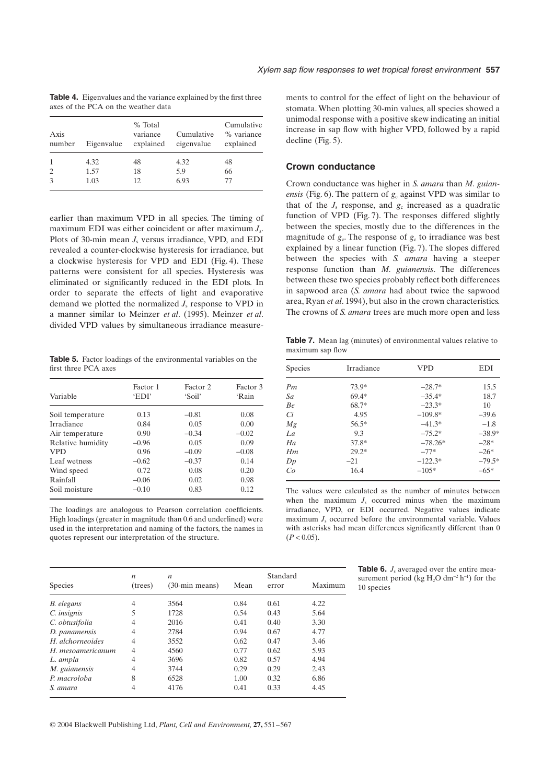| <b>Table 4.</b> Eigenvalues and the variance explained by the first three |  |
|---------------------------------------------------------------------------|--|
| axes of the PCA on the weather data                                       |  |

| Axis<br>number | Eigenvalue | % Total<br>variance<br>explained | Cumulative<br>eigenvalue | Cumulative<br>% variance<br>explained |
|----------------|------------|----------------------------------|--------------------------|---------------------------------------|
| 1              | 4.32       | 48                               | 4.32                     | 48                                    |
| $\overline{2}$ | 1.57       | 18                               | 5.9                      | 66                                    |
| 3              | 1.03       | 12                               | 6.93                     | 77                                    |

earlier than maximum VPD in all species. The timing of maximum EDI was either coincident or after maximum *J<sub>s</sub>*. Plots of 30-min mean *J*<sub>s</sub> versus irradiance, VPD, and EDI revealed a counter-clockwise hysteresis for irradiance, but a clockwise hysteresis for VPD and EDI (Fig. 4). These patterns were consistent for all species. Hysteresis was eliminated or significantly reduced in the EDI plots. In order to separate the effects of light and evaporative demand we plotted the normalized  $J_s$  response to VPD in a manner similar to Meinzer *et al*. (1995). Meinzer *et al*. divided VPD values by simultaneous irradiance measure-

**Table 5.** Factor loadings of the environmental variables on the first three PCA axes

| Variable          | Factor 1<br><b>EDI</b> | Factor 2<br>'Soil' | Factor 3<br>'Rain |
|-------------------|------------------------|--------------------|-------------------|
| Soil temperature  | 0.13                   | $-0.81$            | 0.08              |
| Irradiance        | 0.84                   | 0.05               | 0.00              |
| Air temperature   | 0.90                   | $-0.34$            | $-0.02$           |
| Relative humidity | $-0.96$                | 0.05               | 0.09              |
| <b>VPD</b>        | 0.96                   | $-0.09$            | $-0.08$           |
| Leaf wetness      | $-0.62$                | $-0.37$            | 0.14              |
| Wind speed        | 0.72                   | 0.08               | 0.20              |
| Rainfall          | $-0.06$                | 0.02               | 0.98              |
| Soil moisture     | $-0.10$                | 0.83               | 0.12              |

The loadings are analogous to Pearson correlation coefficients. High loadings (greater in magnitude than 0.6 and underlined) were used in the interpretation and naming of the factors, the names in quotes represent our interpretation of the structure.

ments to control for the effect of light on the behaviour of stomata. When plotting 30-min values, all species showed a unimodal response with a positive skew indicating an initial increase in sap flow with higher VPD, followed by a rapid decline (Fig. 5).

#### **Crown conductance**

Crown conductance was higher in *S. amara* than *M. guianensis* (Fig. 6). The pattern of  $g_c$  against VPD was similar to that of the  $J_s$  response, and  $g_c$  increased as a quadratic function of VPD (Fig. 7). The responses differed slightly between the species, mostly due to the differences in the magnitude of  $g_c$ . The response of  $g_c$  to irradiance was best explained by a linear function (Fig. 7). The slopes differed between the species with *S. amara* having a steeper response function than *M. guianensis*. The differences between these two species probably reflect both differences in sapwood area (*S. amara* had about twice the sapwood area, Ryan *et al*. 1994), but also in the crown characteristics. The crowns of *S. amara* trees are much more open and less

**Table 7.** Mean lag (minutes) of environmental values relative to maximum sap flow

| <b>Species</b> | Irradiance | <b>VPD</b> | EDI      |
|----------------|------------|------------|----------|
| Pm             | 73.9*      | $-28.7*$   | 15.5     |
| Sa             | $69.4*$    | $-35.4*$   | 18.7     |
| Be             | 68.7*      | $-23.3*$   | 10       |
| Ci             | 4.95       | $-109.8*$  | $-39.6$  |
| Mg             | $56.5*$    | $-41.3*$   | $-1.8$   |
| La             | 9.3        | $-75.2*$   | $-38.9*$ |
| Ha             | $37.8*$    | $-78.26*$  | $-28*$   |
| Hm             | $29.2*$    | $-77*$     | $-26*$   |
| Dp             | $-21$      | $-122.3*$  | $-79.5*$ |
| Co             | 16.4       | $-105*$    | $-65*$   |

The values were calculated as the number of minutes between when the maximum  $J_s$  occurred minus when the maximum irradiance, VPD, or EDI occurred. Negative values indicate maximum  $J_s$  occurred before the environmental variable. Values with asterisks had mean differences significantly different than 0  $(P < 0.05)$ .

| <b>Species</b>    | $\boldsymbol{n}$<br>(trees) | $\boldsymbol{n}$<br>$(30 - min)$ | Mean | Standard<br>error | Maximum |
|-------------------|-----------------------------|----------------------------------|------|-------------------|---------|
|                   |                             |                                  |      |                   |         |
| B. elegans        | 4                           | 3564                             | 0.84 | 0.61              | 4.22    |
| C. insignis       | 5                           | 1728                             | 0.54 | 0.43              | 5.64    |
| C. obtusifolia    | 4                           | 2016                             | 0.41 | 0.40              | 3.30    |
| D. panamensis     | 4                           | 2784                             | 0.94 | 0.67              | 4.77    |
| H. alchorneoides  | 4                           | 3552                             | 0.62 | 0.47              | 3.46    |
| H. mesoamericanum | 4                           | 4560                             | 0.77 | 0.62              | 5.93    |
| L. ampla          | 4                           | 3696                             | 0.82 | 0.57              | 4.94    |
| M. guianensis     | 4                           | 3744                             | 0.29 | 0.29              | 2.43    |
| P. macroloba      | 8                           | 6528                             | 1.00 | 0.32              | 6.86    |
| S. amara          | 4                           | 4176                             | 0.41 | 0.33              | 4.45    |

| <b>Table 6.</b> $J_s$ averaged over the entire mea-                   |
|-----------------------------------------------------------------------|
| surement period (kg $H_2O$ dm <sup>-2</sup> h <sup>-1</sup> ) for the |
| 10 species                                                            |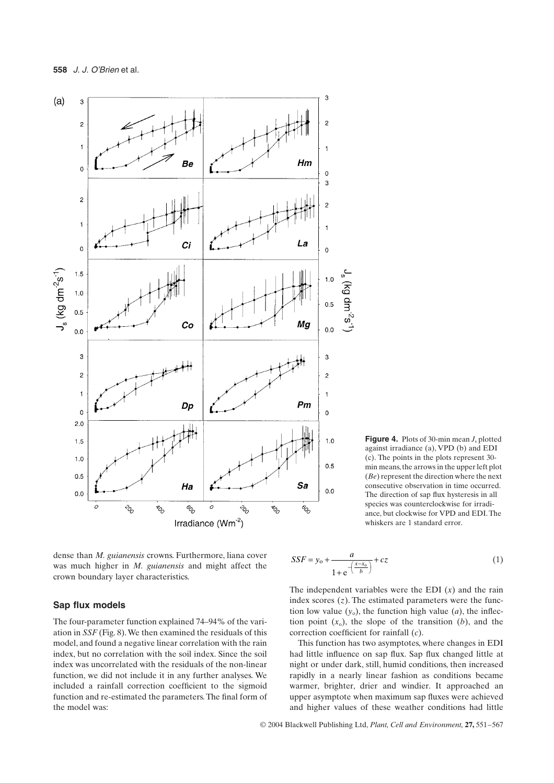

dense than *M. guianensis* crowns. Furthermore, liana cover was much higher in *M. guianensis* and might affect the crown boundary layer characteristics.

#### **Sap flux models**

The four-parameter function explained 74–94% of the variation in *SSF* (Fig. 8). We then examined the residuals of this model, and found a negative linear correlation with the rain index, but no correlation with the soil index. Since the soil index was uncorrelated with the residuals of the non-linear function, we did not include it in any further analyses. We included a rainfall correction coefficient to the sigmoid function and re-estimated the parameters. The final form of the model was:

$$
SSF = y_0 + \frac{a}{1 + e^{-\left(\frac{x - x_0}{b}\right)}} + cz
$$
 (1)

The independent variables were the EDI (*x*) and the rain index scores  $(z)$ . The estimated parameters were the function low value  $(y_0)$ , the function high value  $(a)$ , the inflection point  $(x_0)$ , the slope of the transition  $(b)$ , and the correction coefficient for rainfall (*c*).

This function has two asymptotes, where changes in EDI had little influence on sap flux. Sap flux changed little at night or under dark, still, humid conditions, then increased rapidly in a nearly linear fashion as conditions became warmer, brighter, drier and windier. It approached an upper asymptote when maximum sap fluxes were achieved and higher values of these weather conditions had little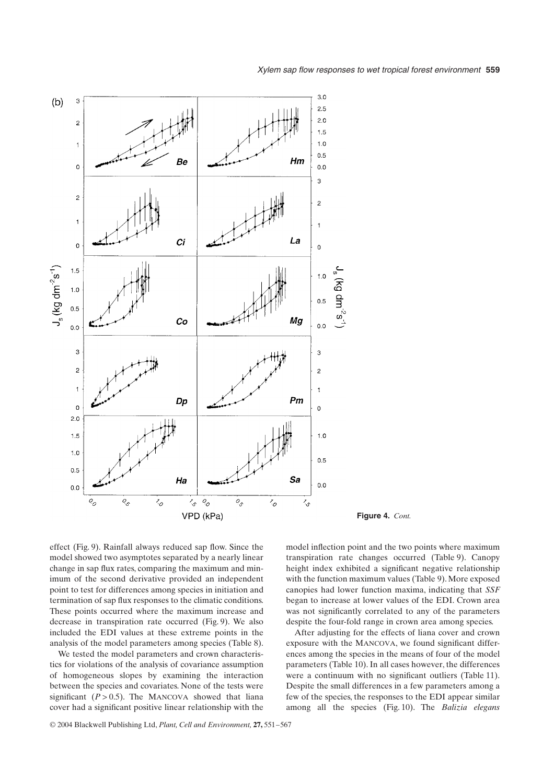

**Figure 4.** *Cont.*

effect (Fig. 9). Rainfall always reduced sap flow. Since the model showed two asymptotes separated by a nearly linear change in sap flux rates, comparing the maximum and minimum of the second derivative provided an independent point to test for differences among species in initiation and termination of sap flux responses to the climatic conditions. These points occurred where the maximum increase and decrease in transpiration rate occurred (Fig. 9). We also included the EDI values at these extreme points in the analysis of the model parameters among species (Table 8).

We tested the model parameters and crown characteristics for violations of the analysis of covariance assumption of homogeneous slopes by examining the interaction between the species and covariates. None of the tests were significant  $(P > 0.5)$ . The MANCOVA showed that liana cover had a significant positive linear relationship with the

© 2004 Blackwell Publishing Ltd, *Plant, Cell and Environment,* **27,** 551–567

model inflection point and the two points where maximum transpiration rate changes occurred (Table 9). Canopy height index exhibited a significant negative relationship with the function maximum values (Table 9). More exposed canopies had lower function maxima, indicating that *SSF* began to increase at lower values of the EDI. Crown area was not significantly correlated to any of the parameters despite the four-fold range in crown area among species.

After adjusting for the effects of liana cover and crown exposure with the MANCOVA, we found significant differences among the species in the means of four of the model parameters (Table 10). In all cases however, the differences were a continuum with no significant outliers (Table 11). Despite the small differences in a few parameters among a few of the species, the responses to the EDI appear similar among all the species (Fig. 10). The *Balizia elegans*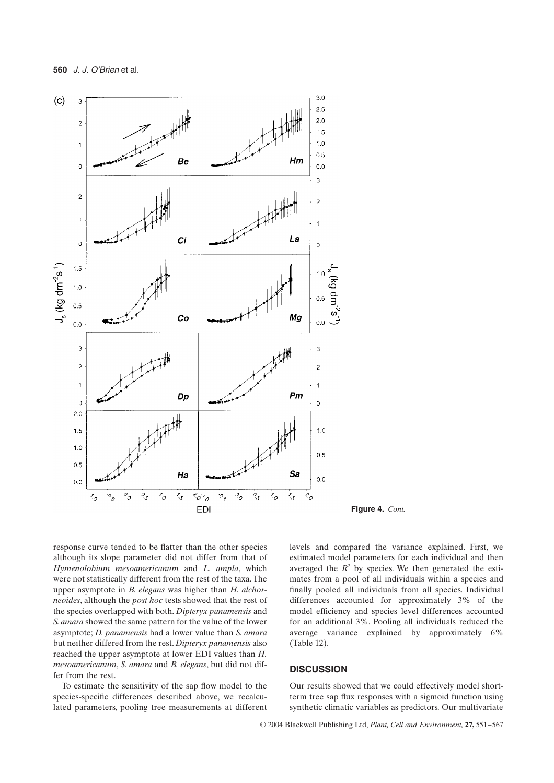

**Figure 4.** *Cont.*

response curve tended to be flatter than the other species although its slope parameter did not differ from that of *Hymenolobium mesoamericanum* and *L. ampla*, which were not statistically different from the rest of the taxa. The upper asymptote in *B. elegans* was higher than *H. alchorneoides*, although the *post hoc* tests showed that the rest of the species overlapped with both. *Dipteryx panamensis* and *S. amara* showed the same pattern for the value of the lower asymptote; *D. panamensis* had a lower value than *S. amara* but neither differed from the rest. *Dipteryx panamensis* also reached the upper asymptote at lower EDI values than *H. mesoamericanum*, *S. amara* and *B. elegans*, but did not differ from the rest.

To estimate the sensitivity of the sap flow model to the species-specific differences described above, we recalculated parameters, pooling tree measurements at different levels and compared the variance explained. First, we estimated model parameters for each individual and then averaged the  $R^2$  by species. We then generated the estimates from a pool of all individuals within a species and finally pooled all individuals from all species. Individual differences accounted for approximately 3% of the model efficiency and species level differences accounted for an additional 3%. Pooling all individuals reduced the average variance explained by approximately 6% (Table 12).

#### **DISCUSSION**

Our results showed that we could effectively model shortterm tree sap flux responses with a sigmoid function using synthetic climatic variables as predictors. Our multivariate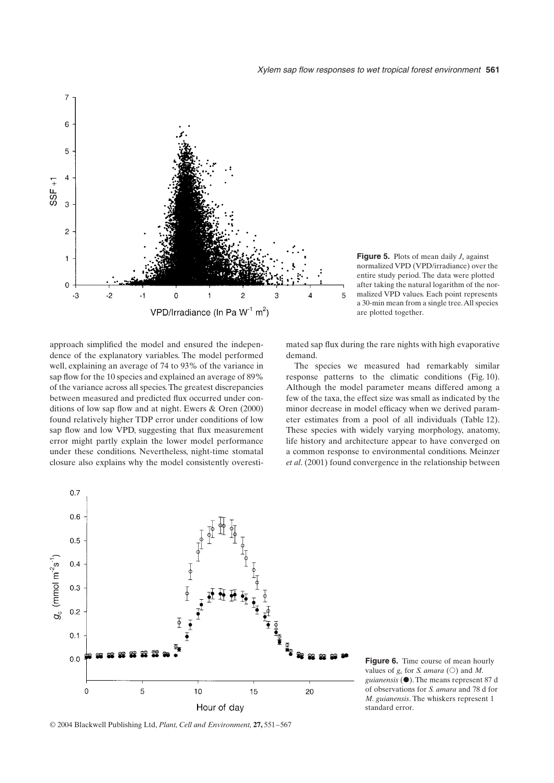

**Figure 5.** Plots of mean daily  $J_s$  against normalized VPD (VPD/irradiance) over the entire study period. The data were plotted after taking the natural logarithm of the normalized VPD values. Each point represents a 30-min mean from a single tree. All species are plotted together.

approach simplified the model and ensured the independence of the explanatory variables. The model performed well, explaining an average of 74 to 93% of the variance in sap flow for the 10 species and explained an average of 89% of the variance across all species. The greatest discrepancies between measured and predicted flux occurred under conditions of low sap flow and at night. Ewers & Oren (2000) found relatively higher TDP error under conditions of low sap flow and low VPD, suggesting that flux measurement error might partly explain the lower model performance under these conditions. Nevertheless, night-time stomatal closure also explains why the model consistently overestimated sap flux during the rare nights with high evaporative demand.

The species we measured had remarkably similar response patterns to the climatic conditions (Fig. 10). Although the model parameter means differed among a few of the taxa, the effect size was small as indicated by the minor decrease in model efficacy when we derived parameter estimates from a pool of all individuals (Table 12). These species with widely varying morphology, anatomy, life history and architecture appear to have converged on a common response to environmental conditions. Meinzer *et al*. (2001) found convergence in the relationship between



**Figure 6.** Time course of mean hourly values of  $g_c$  for *S. amara* ( $\circ$ ) and *M. guianensis* ( $\bullet$ ). The means represent 87 d of observations for *S. amara* and 78 d for *M. guianensis*. The whiskers represent 1 standard error.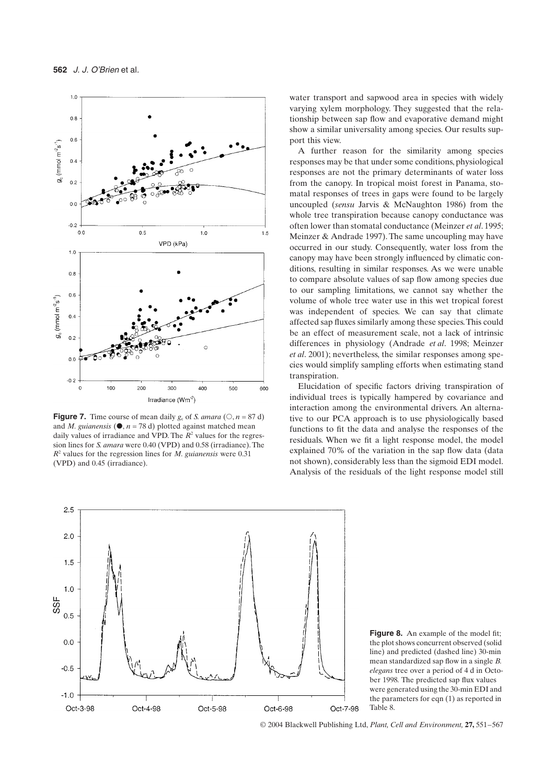

**Figure 7.** Time course of mean daily  $g_c$  of *S. amara* ( $\bigcirc$ ,  $n = 87$  d) and *M. guianensis* ( $\bullet$ , *n* = 78 d) plotted against matched mean daily values of irradiance and VPD. The  $R^2$  values for the regression lines for *S. amara* were 0.40 (VPD) and 0.58 (irradiance). The *R*<sup>2</sup> values for the regression lines for *M. guianensis* were 0.31 (VPD) and 0.45 (irradiance).

water transport and sapwood area in species with widely varying xylem morphology. They suggested that the relationship between sap flow and evaporative demand might show a similar universality among species. Our results support this view.

A further reason for the similarity among species responses may be that under some conditions, physiological responses are not the primary determinants of water loss from the canopy. In tropical moist forest in Panama, stomatal responses of trees in gaps were found to be largely uncoupled (*sensu* Jarvis & McNaughton 1986) from the whole tree transpiration because canopy conductance was often lower than stomatal conductance (Meinzer *et al*. 1995; Meinzer & Andrade 1997). The same uncoupling may have occurred in our study. Consequently, water loss from the canopy may have been strongly influenced by climatic conditions, resulting in similar responses. As we were unable to compare absolute values of sap flow among species due to our sampling limitations, we cannot say whether the volume of whole tree water use in this wet tropical forest was independent of species. We can say that climate affected sap fluxes similarly among these species. This could be an effect of measurement scale, not a lack of intrinsic differences in physiology (Andrade *et al*. 1998; Meinzer *et al*. 2001); nevertheless, the similar responses among species would simplify sampling efforts when estimating stand transpiration.

Elucidation of specific factors driving transpiration of individual trees is typically hampered by covariance and interaction among the environmental drivers. An alternative to our PCA approach is to use physiologically based functions to fit the data and analyse the responses of the residuals. When we fit a light response model, the model explained 70% of the variation in the sap flow data (data not shown), considerably less than the sigmoid EDI model. Analysis of the residuals of the light response model still



Figure 8. An example of the model fit; the plot shows concurrent observed (solid line) and predicted (dashed line) 30-min mean standardized sap flow in a single *B. elegans* tree over a period of 4 d in October 1998*.* The predicted sap flux values were generated using the 30-min EDI and the parameters for eqn (1) as reported in Table 8.

© 2004 Blackwell Publishing Ltd, *Plant, Cell and Environment,* **27,** 551–567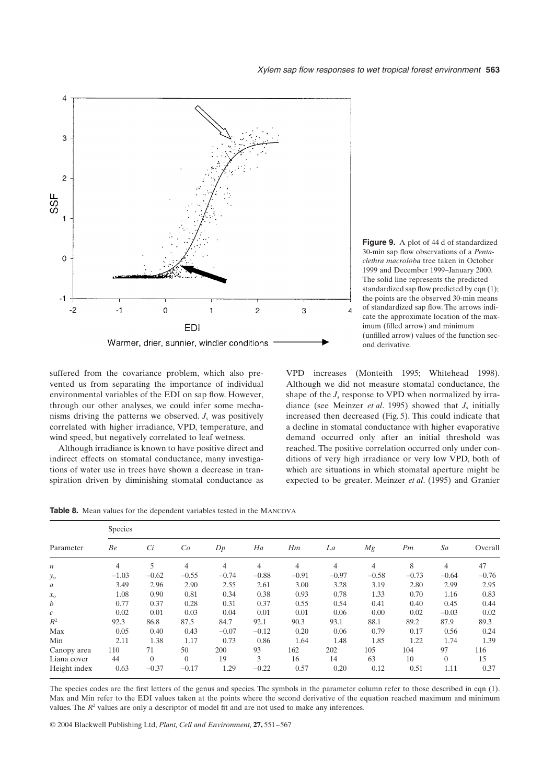

suffered from the covariance problem, which also prevented us from separating the importance of individual environmental variables of the EDI on sap flow. However, through our other analyses, we could infer some mechanisms driving the patterns we observed.  $J_s$  was positively correlated with higher irradiance, VPD, temperature, and wind speed, but negatively correlated to leaf wetness.

Although irradiance is known to have positive direct and indirect effects on stomatal conductance, many investigations of water use in trees have shown a decrease in transpiration driven by diminishing stomatal conductance as **Figure 9.** A plot of 44 d of standardized 30-min sap flow observations of a *Pentaclethra macroloba* tree taken in October 1999 and December 1999–January 2000. The solid line represents the predicted standardized sap flow predicted by eqn (1); the points are the observed 30-min means of standardized sap flow. The arrows indicate the approximate location of the maximum (filled arrow) and minimum (unfilled arrow) values of the function second derivative.

VPD increases (Monteith 1995; Whitehead 1998). Although we did not measure stomatal conductance, the shape of the  $J_s$  response to VPD when normalized by irradiance (see Meinzer *et al*. 1995) showed that *J*<sup>s</sup> initially increased then decreased (Fig. 5). This could indicate that a decline in stomatal conductance with higher evaporative demand occurred only after an initial threshold was reached. The positive correlation occurred only under conditions of very high irradiance or very low VPD, both of which are situations in which stomatal aperture might be expected to be greater. Meinzer *et al*. (1995) and Granier

**Table 8.** Mean values for the dependent variables tested in the MANCOVA

| Parameter        | <b>Species</b> |          |                |                |         |         |                |                |         |                |         |  |  |  |  |
|------------------|----------------|----------|----------------|----------------|---------|---------|----------------|----------------|---------|----------------|---------|--|--|--|--|
|                  | Be             | Ci       | Co             | Dp             | Ha      | Hm      | La             | Mg             | Pm      | Sa             | Overall |  |  |  |  |
| $\boldsymbol{n}$ | 4              | 5        | $\overline{4}$ | $\overline{4}$ | 4       | 4       | $\overline{4}$ | $\overline{4}$ | 8       | 4              | 47      |  |  |  |  |
| $y_{o}$          | $-1.03$        | $-0.62$  | $-0.55$        | $-0.74$        | $-0.88$ | $-0.91$ | $-0.97$        | $-0.58$        | $-0.73$ | $-0.64$        | $-0.76$ |  |  |  |  |
| $\boldsymbol{a}$ | 3.49           | 2.96     | 2.90           | 2.55           | 2.61    | 3.00    | 3.28           | 3.19           | 2.80    | 2.99           | 2.95    |  |  |  |  |
| $x_{\rm o}$      | 1.08           | 0.90     | 0.81           | 0.34           | 0.38    | 0.93    | 0.78           | 1.33           | 0.70    | 1.16           | 0.83    |  |  |  |  |
| b                | 0.77           | 0.37     | 0.28           | 0.31           | 0.37    | 0.55    | 0.54           | 0.41           | 0.40    | 0.45           | 0.44    |  |  |  |  |
| $\boldsymbol{c}$ | 0.02           | 0.01     | 0.03           | 0.04           | 0.01    | 0.01    | 0.06           | 0.00           | 0.02    | $-0.03$        | 0.02    |  |  |  |  |
| $R^2$            | 92.3           | 86.8     | 87.5           | 84.7           | 92.1    | 90.3    | 93.1           | 88.1           | 89.2    | 87.9           | 89.3    |  |  |  |  |
| Max              | 0.05           | 0.40     | 0.43           | $-0.07$        | $-0.12$ | 0.20    | 0.06           | 0.79           | 0.17    | 0.56           | 0.24    |  |  |  |  |
| Min              | 2.11           | 1.38     | 1.17           | 0.73           | 0.86    | 1.64    | 1.48           | 1.85           | 1.22    | 1.74           | 1.39    |  |  |  |  |
| Canopy area      | 110            | 71       | 50             | 200            | 93      | 162     | 202            | 105            | 104     | 97             | 116     |  |  |  |  |
| Liana cover      | 44             | $\Omega$ | $\theta$       | 19             | 3       | 16      | 14             | 63             | 10      | $\overline{0}$ | 15      |  |  |  |  |
| Height index     | 0.63           | $-0.37$  | $-0.17$        | 1.29           | $-0.22$ | 0.57    | 0.20           | 0.12           | 0.51    | 1.11           | 0.37    |  |  |  |  |

The species codes are the first letters of the genus and species. The symbols in the parameter column refer to those described in eqn (1). Max and Min refer to the EDI values taken at the points where the second derivative of the equation reached maximum and minimum values. The  $R<sup>2</sup>$  values are only a descriptor of model fit and are not used to make any inferences.

© 2004 Blackwell Publishing Ltd, *Plant, Cell and Environment,* **27,** 551–567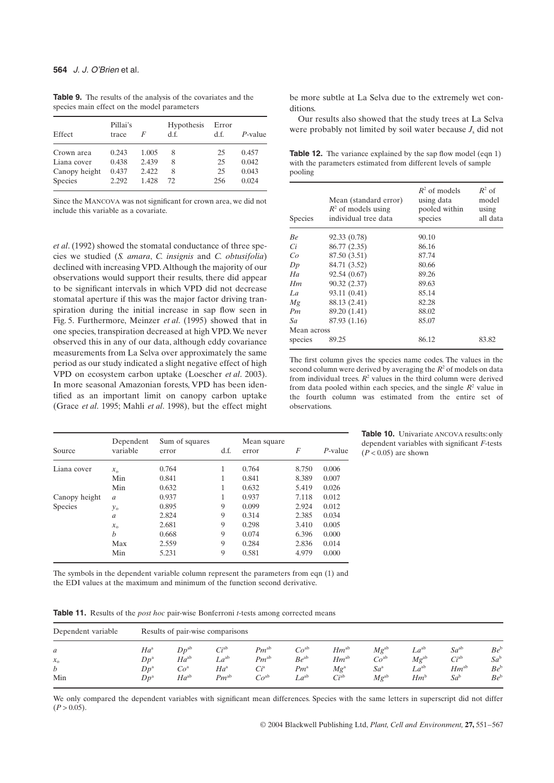| Effect        | Pillai's<br>trace | F     | <b>Hypothesis</b><br>d.f. | Error<br>d.f. | $P$ -value |
|---------------|-------------------|-------|---------------------------|---------------|------------|
| Crown area    | 0.243             | 1.005 | 8                         | 25            | 0.457      |
| Liana cover   | 0.438             | 2.439 | 8                         | 25            | 0.042      |
| Canopy height | 0.437             | 2.422 | 8                         | 25            | 0.043      |
| Species       | 2.292             | 1.428 | 72                        | 256           | 0.024      |

**Table 9.** The results of the analysis of the covariates and the species main effect on the model parameters

Since the MANCOVA was not significant for crown area, we did not include this variable as a covariate.

*et al*. (1992) showed the stomatal conductance of three species we studied (*S. amara*, *C. insignis* and *C. obtusifolia*) declined with increasing VPD. Although the majority of our observations would support their results, there did appear to be significant intervals in which VPD did not decrease stomatal aperture if this was the major factor driving transpiration during the initial increase in sap flow seen in Fig. 5. Furthermore, Meinzer *et al*. (1995) showed that in one species, transpiration decreased at high VPD. We never observed this in any of our data, although eddy covariance measurements from La Selva over approximately the same period as our study indicated a slight negative effect of high VPD on ecosystem carbon uptake (Loescher *et al*. 2003). In more seasonal Amazonian forests, VPD has been identified as an important limit on canopy carbon uptake (Grace *et al*. 1995; Mahli *et al*. 1998), but the effect might be more subtle at La Selva due to the extremely wet conditions.

Our results also showed that the study trees at La Selva were probably not limited by soil water because *J*<sup>s</sup> did not

| <b>Table 12.</b> The variance explained by the sap flow model (eqn 1) |
|-----------------------------------------------------------------------|
| with the parameters estimated from different levels of sample         |
| pooling                                                               |

| Species     | Mean (standard error)<br>$R^2$ of models using<br>individual tree data | $R^2$ of models<br>using data<br>pooled within<br>species | $R^2$ of<br>model<br>using<br>all data |
|-------------|------------------------------------------------------------------------|-----------------------------------------------------------|----------------------------------------|
| <b>Be</b>   | 92.33 (0.78)                                                           | 90.10                                                     |                                        |
| Сi          | 86.77 (2.35)                                                           | 86.16                                                     |                                        |
| Co          | 87.50 (3.51)                                                           | 87.74                                                     |                                        |
| Dp          | 84.71 (3.52)                                                           | 80.66                                                     |                                        |
| Ha          | 92.54 (0.67)                                                           | 89.26                                                     |                                        |
| Hm          | 90.32 (2.37)                                                           | 89.63                                                     |                                        |
| La          | 93.11 (0.41)                                                           | 85.14                                                     |                                        |
| Mg          | 88.13 (2.41)                                                           | 82.28                                                     |                                        |
| Pm          | 89.20 (1.41)                                                           | 88.02                                                     |                                        |
| Sa          | 87.93 (1.16)                                                           | 85.07                                                     |                                        |
| Mean across |                                                                        |                                                           |                                        |
| species     | 89.25                                                                  | 86.12                                                     | 83.82                                  |

The first column gives the species name codes. The values in the second column were derived by averaging the  $R^2$  of models on data from individual trees.  $R^2$  values in the third column were derived from data pooled within each species, and the single  $R^2$  value in the fourth column was estimated from the entire set of observations.

| Source         | Dependent<br>variable | Sum of squares<br>error | d.f. | Mean square<br>error | F     | $P$ -value |
|----------------|-----------------------|-------------------------|------|----------------------|-------|------------|
| Liana cover    | $x_{\rm o}$           | 0.764                   |      | 0.764                | 8.750 | 0.006      |
|                | Min                   | 0.841                   |      | 0.841                | 8.389 | 0.007      |
|                | Min                   | 0.632                   |      | 0.632                | 5.419 | 0.026      |
| Canopy height  | a                     | 0.937                   | 1    | 0.937                | 7.118 | 0.012      |
| <b>Species</b> | $y_{\rm o}$           | 0.895                   | 9    | 0.099                | 2.924 | 0.012      |
|                | a                     | 2.824                   | 9    | 0.314                | 2.385 | 0.034      |
|                | $x_{\rm o}$           | 2.681                   | 9    | 0.298                | 3.410 | 0.005      |
|                | h                     | 0.668                   | 9    | 0.074                | 6.396 | 0.000      |
|                | Max                   | 2.559                   | 9    | 0.284                | 2.836 | 0.014      |
|                | Min                   | 5.231                   | 9    | 0.581                | 4.979 | 0.000      |

Table 10. Univariate ANCOVA results: only dependent variables with significant *F*-tests (*P* < 0.05) are shown

The symbols in the dependent variable column represent the parameters from eqn (1) and the EDI values at the maximum and minimum of the function second derivative.

**Table 11.** Results of the *post hoc* pair-wise Bonferroni *t*-tests among corrected means

| Dependent variable    | Results of pair-wise comparisons       |                                           |                                      |                                           |                                        |                                                      |                                      |                                     |                                            |                            |
|-----------------------|----------------------------------------|-------------------------------------------|--------------------------------------|-------------------------------------------|----------------------------------------|------------------------------------------------------|--------------------------------------|-------------------------------------|--------------------------------------------|----------------------------|
| a<br>$x_{\rm o}$<br>b | $Ha^a$<br>$Dp^{\rm a}$<br>$Dp^{\rm a}$ | $Dp^{ab}$<br>$Ha^{ab}$<br>Co <sup>a</sup> | $Ci^{\rm ab}$<br>$La^{ab}$<br>$Ha^a$ | $Pm^{ab}$<br>$Pm^{ab}$<br>Ci <sup>a</sup> | $Co^{ab}$<br>$Be^{ab}$<br>$Pm^{\rm a}$ | Hm <sup>ab</sup><br>Hm <sup>ab</sup><br>$Mg^{\rm a}$ | $Mg^{\rm ab}$<br>$Co^{ab}$<br>$Sa^a$ | $La^{ab}$<br>$Mg^{ab}$<br>$La^{ab}$ | $Sa^{ab}$<br>$Ci^{ab}$<br>Hm <sup>ab</sup> | $Be^b$<br>$Sa^b$<br>$Be^b$ |
| Min                   | $Dp^a$                                 | $Ha^{ab}$                                 | $Pm^{\rm ab}$                        | $Co^{ab}$                                 | $La^{ab}$                              | $Ci^{ab}$                                            | $Mg^{ab}$                            | Hm <sup>b</sup>                     | $Sa^b$                                     | $Be^b$                     |

We only compared the dependent variables with significant mean differences. Species with the same letters in superscript did not differ  $(P > 0.05)$ .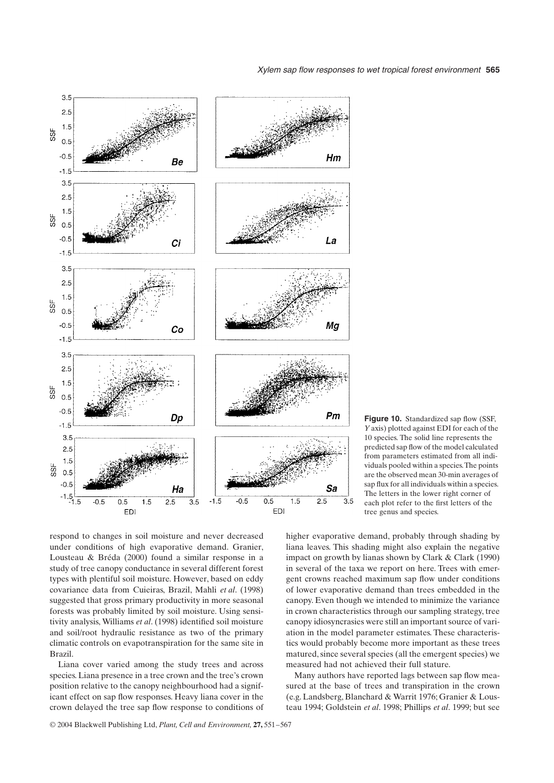

**Figure 10.** Standardized sap flow (SSF, *Y* axis) plotted against EDI for each of the 10 species. The solid line represents the predicted sap flow of the model calculated from parameters estimated from all individuals pooled within a species. The points are the observed mean 30-min averages of sap flux for all individuals within a species. The letters in the lower right corner of each plot refer to the first letters of the tree genus and species.

respond to changes in soil moisture and never decreased under conditions of high evaporative demand. Granier, Lousteau & Bréda (2000) found a similar response in a study of tree canopy conductance in several different forest types with plentiful soil moisture. However, based on eddy covariance data from Cuieiras, Brazil, Mahli *et al*. (1998) suggested that gross primary productivity in more seasonal forests was probably limited by soil moisture. Using sensitivity analysis, Williams *et al*. (1998) identified soil moisture and soil/root hydraulic resistance as two of the primary climatic controls on evapotranspiration for the same site in Brazil.

Liana cover varied among the study trees and across species. Liana presence in a tree crown and the tree's crown position relative to the canopy neighbourhood had a significant effect on sap flow responses. Heavy liana cover in the crown delayed the tree sap flow response to conditions of higher evaporative demand, probably through shading by liana leaves. This shading might also explain the negative impact on growth by lianas shown by Clark & Clark (1990) in several of the taxa we report on here. Trees with emergent crowns reached maximum sap flow under conditions of lower evaporative demand than trees embedded in the canopy. Even though we intended to minimize the variance in crown characteristics through our sampling strategy, tree canopy idiosyncrasies were still an important source of variation in the model parameter estimates. These characteristics would probably become more important as these trees matured, since several species (all the emergent species) we measured had not achieved their full stature.

Many authors have reported lags between sap flow measured at the base of trees and transpiration in the crown (e.g. Landsberg, Blanchard & Warrit 1976; Granier & Lousteau 1994; Goldstein *et al*. 1998; Phillips *et al*. 1999; but see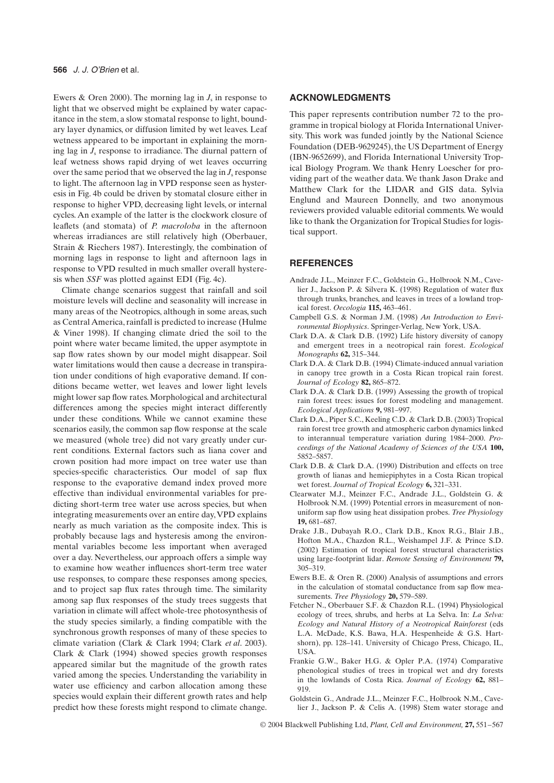Ewers & Oren 2000). The morning lag in  $J_s$  in response to light that we observed might be explained by water capacitance in the stem, a slow stomatal response to light, boundary layer dynamics, or diffusion limited by wet leaves. Leaf wetness appeared to be important in explaining the morning lag in *J<sub>s</sub>* response to irradiance. The diurnal pattern of leaf wetness shows rapid drying of wet leaves occurring over the same period that we observed the lag in  $J_s$  response to light. The afternoon lag in VPD response seen as hysteresis in Fig. 4b could be driven by stomatal closure either in response to higher VPD, decreasing light levels, or internal cycles. An example of the latter is the clockwork closure of leaflets (and stomata) of *P. macroloba* in the afternoon whereas irradiances are still relatively high (Oberbauer, Strain & Riechers 1987). Interestingly, the combination of morning lags in response to light and afternoon lags in response to VPD resulted in much smaller overall hysteresis when *SSF* was plotted against EDI (Fig. 4c).

Climate change scenarios suggest that rainfall and soil moisture levels will decline and seasonality will increase in many areas of the Neotropics, although in some areas, such as Central America, rainfall is predicted to increase (Hulme & Viner 1998). If changing climate dried the soil to the point where water became limited, the upper asymptote in sap flow rates shown by our model might disappear. Soil water limitations would then cause a decrease in transpiration under conditions of high evaporative demand. If conditions became wetter, wet leaves and lower light levels might lower sap flow rates. Morphological and architectural differences among the species might interact differently under these conditions. While we cannot examine these scenarios easily, the common sap flow response at the scale we measured (whole tree) did not vary greatly under current conditions. External factors such as liana cover and crown position had more impact on tree water use than species-specific characteristics. Our model of sap flux response to the evaporative demand index proved more effective than individual environmental variables for predicting short-term tree water use across species, but when integrating measurements over an entire day, VPD explains nearly as much variation as the composite index. This is probably because lags and hysteresis among the environmental variables become less important when averaged over a day. Nevertheless, our approach offers a simple way to examine how weather influences short-term tree water use responses, to compare these responses among species, and to project sap flux rates through time. The similarity among sap flux responses of the study trees suggests that variation in climate will affect whole-tree photosynthesis of the study species similarly, a finding compatible with the synchronous growth responses of many of these species to climate variation (Clark & Clark 1994; Clark *et al*. 2003). Clark & Clark (1994) showed species growth responses appeared similar but the magnitude of the growth rates varied among the species. Understanding the variability in water use efficiency and carbon allocation among these species would explain their different growth rates and help predict how these forests might respond to climate change.

## **ACKNOWLEDGMENTS**

This paper represents contribution number 72 to the programme in tropical biology at Florida International University. This work was funded jointly by the National Science Foundation (DEB-9629245), the US Department of Energy (IBN-9652699), and Florida International University Tropical Biology Program. We thank Henry Loescher for providing part of the weather data. We thank Jason Drake and Matthew Clark for the LIDAR and GIS data. Sylvia Englund and Maureen Donnelly, and two anonymous reviewers provided valuable editorial comments. We would like to thank the Organization for Tropical Studies for logistical support.

#### **REFERENCES**

- Andrade J.L., Meinzer F.C., Goldstein G., Holbrook N.M., Cavelier J., Jackson P. & Silvera K. (1998) Regulation of water flux through trunks, branches, and leaves in trees of a lowland tropical forest. *Oecologia* **115,** 463–461.
- Campbell G.S. & Norman J.M. (1998) *An Introduction to Environmental Biophysics*. Springer-Verlag, New York, USA.
- Clark D.A. & Clark D.B. (1992) Life history diversity of canopy and emergent trees in a neotropical rain forest. *Ecological Monographs* **62,** 315–344.
- Clark D.A. & Clark D.B. (1994) Climate-induced annual variation in canopy tree growth in a Costa Rican tropical rain forest. *Journal of Ecology* **82,** 865–872.
- Clark D.A. & Clark D.B. (1999) Assessing the growth of tropical rain forest trees: issues for forest modeling and management. *Ecological Applications* **9,** 981–997.
- Clark D.A., Piper S.C., Keeling C.D. & Clark D.B. (2003) Tropical rain forest tree growth and atmospheric carbon dynamics linked to interannual temperature variation during 1984–2000. *Proceedings of the National Academy of Sciences of the USA* **100,** 5852–5857.
- Clark D.B. & Clark D.A. (1990) Distribution and effects on tree growth of lianas and hemiepiphytes in a Costa Rican tropical wet forest. *Journal of Tropical Ecology* **6,** 321–331.
- Clearwater M.J., Meinzer F.C., Andrade J.L., Goldstein G. & Holbrook N.M. (1999) Potential errors in measurement of nonuniform sap flow using heat dissipation probes. *Tree Physiology* **19,** 681–687.
- Drake J.B., Dubayah R.O., Clark D.B., Knox R.G., Blair J.B., Hofton M.A., Chazdon R.L., Weishampel J.F. & Prince S.D. (2002) Estimation of tropical forest structural characteristics using large-footprint lidar. *Remote Sensing of Environment* **79,** 305–319.
- Ewers B.E. & Oren R. (2000) Analysis of assumptions and errors in the calculation of stomatal conductance from sap flow measurements. *Tree Physiology* **20,** 579–589.
- Fetcher N., Oberbauer S.F. & Chazdon R.L. (1994) Physiological ecology of trees, shrubs, and herbs at La Selva. In: *La Selva: Ecology and Natural History of a Neotropical Rainforest* (eds L.A. McDade, K.S. Bawa, H.A. Hespenheide & G.S. Hartshorn), pp. 128–141. University of Chicago Press, Chicago, IL, USA.
- Frankie G.W., Baker H.G. & Opler P.A. (1974) Comparative phenological studies of trees in tropical wet and dry forests in the lowlands of Costa Rica. *Journal of Ecology* **62,** 881– 919.
- Goldstein G., Andrade J.L., Meinzer F.C., Holbrook N.M., Cavelier J., Jackson P. & Celis A. (1998) Stem water storage and